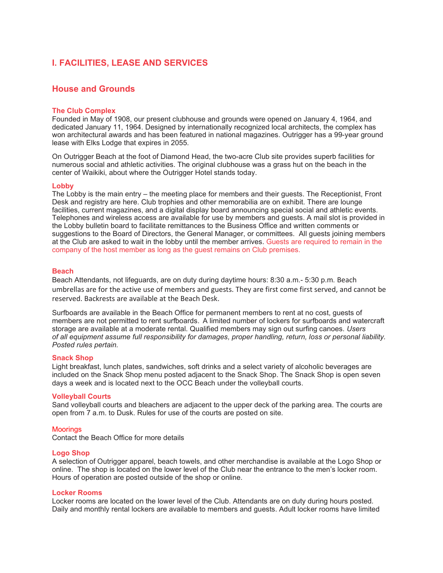# **I. FACILITIES, LEASE AND SERVICES**

# **House and Grounds**

# **The Club Complex**

Founded in May of 1908, our present clubhouse and grounds were opened on January 4, 1964, and dedicated January 11, 1964. Designed by internationally recognized local architects, the complex has won architectural awards and has been featured in national magazines. Outrigger has a 99-year ground lease with Elks Lodge that expires in 2055.

On Outrigger Beach at the foot of Diamond Head, the two-acre Club site provides superb facilities for numerous social and athletic activities. The original clubhouse was a grass hut on the beach in the center of Waikiki, about where the Outrigger Hotel stands today.

## **Lobby**

The Lobby is the main entry – the meeting place for members and their guests. The Receptionist, Front Desk and registry are here. Club trophies and other memorabilia are on exhibit. There are lounge facilities, current magazines, and a digital display board announcing special social and athletic events. Telephones and wireless access are available for use by members and guests. A mail slot is provided in the Lobby bulletin board to facilitate remittances to the Business Office and written comments or suggestions to the Board of Directors, the General Manager, or committees. All guests joining members at the Club are asked to wait in the lobby until the member arrives. Guests are required to remain in the company of the host member as long as the guest remains on Club premises.

# **Beach**

Beach Attendants, not lifeguards, are on duty during daytime hours: 8:30 a.m.- 5:30 p.m. Beach umbrellas are for the active use of members and guests. They are first come first served, and cannot be reserved. Backrests are available at the Beach Desk.

Surfboards are available in the Beach Office for permanent members to rent at no cost, guests of members are not permitted to rent surfboards. A limited number of lockers for surfboards and watercraft storage are available at a moderate rental. Qualified members may sign out surfing canoes. *Users of all equipment assume full responsibility for damages, proper handling, return, loss or personal liability. Posted rules pertain.*

# **Snack Shop**

Light breakfast, lunch plates, sandwiches, soft drinks and a select variety of alcoholic beverages are included on the Snack Shop menu posted adjacent to the Snack Shop. The Snack Shop is open seven days a week and is located next to the OCC Beach under the volleyball courts.

## **Volleyball Courts**

Sand volleyball courts and bleachers are adjacent to the upper deck of the parking area. The courts are open from 7 a.m. to Dusk. Rules for use of the courts are posted on site.

## **Moorings**

Contact the Beach Office for more details

## **Logo Shop**

A selection of Outrigger apparel, beach towels, and other merchandise is available at the Logo Shop or online. The shop is located on the lower level of the Club near the entrance to the men's locker room. Hours of operation are posted outside of the shop or online.

# **Locker Rooms**

Locker rooms are located on the lower level of the Club. Attendants are on duty during hours posted. Daily and monthly rental lockers are available to members and guests. Adult locker rooms have limited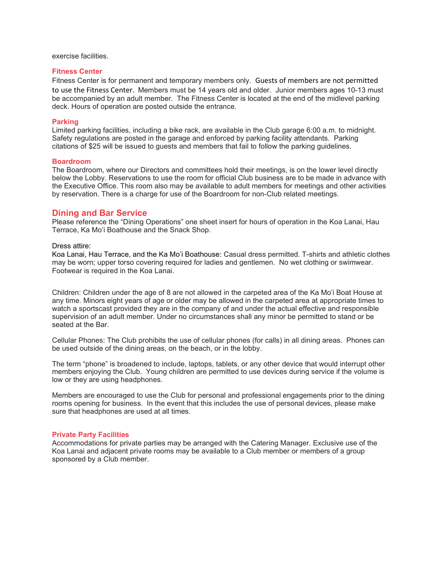exercise facilities.

# **Fitness Center**

Fitness Center is for permanent and temporary members only. Guests of members are not permitted to use the Fitness Center. Members must be 14 years old and older. Junior members ages 10-13 must be accompanied by an adult member. The Fitness Center is located at the end of the midlevel parking deck. Hours of operation are posted outside the entrance.

# **Parking**

Limited parking facilities, including a bike rack, are available in the Club garage 6:00 a.m. to midnight. Safety regulations are posted in the garage and enforced by parking facility attendants. Parking citations of \$25 will be issued to guests and members that fail to follow the parking guidelines.

## **Boardroom**

The Boardroom, where our Directors and committees hold their meetings, is on the lower level directly below the Lobby. Reservations to use the room for official Club business are to be made in advance with the Executive Office. This room also may be available to adult members for meetings and other activities by reservation. There is a charge for use of the Boardroom for non-Club related meetings.

# **Dining and Bar Service**

Please reference the "Dining Operations" one sheet insert for hours of operation in the Koa Lanai, Hau Terrace, Ka Mo'i Boathouse and the Snack Shop.

# Dress attire:

Koa Lanai, Hau Terrace, and the Ka Mo'i Boathouse: Casual dress permitted. T-shirts and athletic clothes may be worn; upper torso covering required for ladies and gentlemen. No wet clothing or swimwear. Footwear is required in the Koa Lanai.

Children: Children under the age of 8 are not allowed in the carpeted area of the Ka Mo'i Boat House at any time. Minors eight years of age or older may be allowed in the carpeted area at appropriate times to watch a sportscast provided they are in the company of and under the actual effective and responsible supervision of an adult member. Under no circumstances shall any minor be permitted to stand or be seated at the Bar.

Cellular Phones: The Club prohibits the use of cellular phones (for calls) in all dining areas. Phones can be used outside of the dining areas, on the beach, or in the lobby.

The term "phone" is broadened to include, laptops, tablets, or any other device that would interrupt other members enjoying the Club. Young children are permitted to use devices during service if the volume is low or they are using headphones.

Members are encouraged to use the Club for personal and professional engagements prior to the dining rooms opening for business. In the event that this includes the use of personal devices, please make sure that headphones are used at all times.

# **Private Party Facilities**

Accommodations for private parties may be arranged with the Catering Manager. Exclusive use of the Koa Lanai and adjacent private rooms may be available to a Club member or members of a group sponsored by a Club member.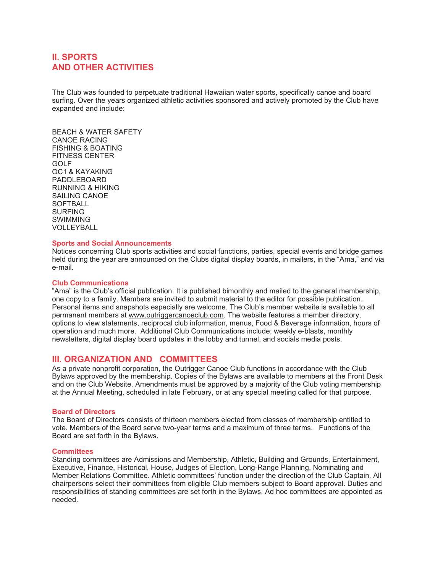# **II. SPORTS AND OTHER ACTIVITIES**

The Club was founded to perpetuate traditional Hawaiian water sports, specifically canoe and board surfing. Over the years organized athletic activities sponsored and actively promoted by the Club have expanded and include:

BEACH & WATER SAFETY CANOE RACING FISHING & BOATING FITNESS CENTER GOLF OC1 & KAYAKING PADDLEBOARD RUNNING & HIKING SAILING CANOE **SOFTBALL** SURFING SWIMMING VOLLEYBALL

# **Sports and Social Announcements**

Notices concerning Club sports activities and social functions, parties, special events and bridge games held during the year are announced on the Clubs digital display boards, in mailers, in the "Ama," and via e-mail.

# **Club Communications**

"Ama" is the Club's official publication. It is published bimonthly and mailed to the general membership, one copy to a family. Members are invited to submit material to the editor for possible publication. Personal items and snapshots especially are welcome. The Club's member website is available to all permanent members at [www.outriggercanoeclub.com.](http://www.outriggercanoeclub.com/) The website features a member directory, options to view statements, reciprocal club information, menus, Food & Beverage information, hours of operation and much more. Additional Club Communications include; weekly e-blasts, monthly newsletters, digital display board updates in the lobby and tunnel, and socials media posts.

# **III. ORGANIZATION AND COMMITTEES**

As a private nonprofit corporation, the Outrigger Canoe Club functions in accordance with the Club Bylaws approved by the membership. Copies of the Bylaws are available to members at the Front Desk and on the Club Website. Amendments must be approved by a majority of the Club voting membership at the Annual Meeting, scheduled in late February, or at any special meeting called for that purpose.

## **Board of Directors**

The Board of Directors consists of thirteen members elected from classes of membership entitled to vote. Members of the Board serve two-year terms and a maximum of three terms. Functions of the Board are set forth in the Bylaws.

## **Committees**

Standing committees are Admissions and Membership, Athletic, Building and Grounds, Entertainment, Executive, Finance, Historical, House, Judges of Election, Long-Range Planning, Nominating and Member Relations Committee. Athletic committees' function under the direction of the Club Captain. All chairpersons select their committees from eligible Club members subject to Board approval. Duties and responsibilities of standing committees are set forth in the Bylaws. Ad hoc committees are appointed as needed.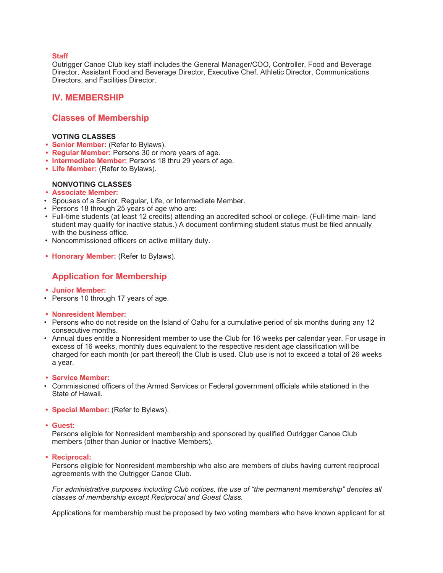# **Staff**

Outrigger Canoe Club key staff includes the General Manager/COO, Controller, Food and Beverage Director, Assistant Food and Beverage Director, Executive Chef, Athletic Director, Communications Directors, and Facilities Director.

# **IV. MEMBERSHIP**

# **Classes of Membership**

# **VOTING CLASSES**

- **• Senior Member:** (Refer to Bylaws).
- **• Regular Member:** Persons 30 or more years of age.
- **• Intermediate Member:** Persons 18 thru 29 years of age.
- **• Life Member:** (Refer to Bylaws).

# **NONVOTING CLASSES**

- **• Associate Member:**
- Spouses of a Senior, Regular, Life, or Intermediate Member.
- Persons 18 through 25 years of age who are:
- Full-time students (at least 12 credits) attending an accredited school or college. (Full-time main- land student may qualify for inactive status.) A document confirming student status must be filed annually with the business office.
- Noncommissioned officers on active military duty.
- **• Honorary Member:** (Refer to Bylaws).

# **Application for Membership**

- **• Junior Member:**
- Persons 10 through 17 years of age.
- **• Nonresident Member:**
- Persons who do not reside on the Island of Oahu for a cumulative period of six months during any 12 consecutive months.
- Annual dues entitle a Nonresident member to use the Club for 16 weeks per calendar year. For usage in excess of 16 weeks, monthly dues equivalent to the respective resident age classification will be charged for each month (or part thereof) the Club is used. Club use is not to exceed a total of 26 weeks a year.
- **• Service Member:**
- Commissioned officers of the Armed Services or Federal government officials while stationed in the State of Hawaii.
- **• Special Member:** (Refer to Bylaws).
- **• Guest:**

Persons eligible for Nonresident membership and sponsored by qualified Outrigger Canoe Club members (other than Junior or Inactive Members).

**• Reciprocal:**

Persons eligible for Nonresident membership who also are members of clubs having current reciprocal agreements with the Outrigger Canoe Club.

*For administrative purposes including Club notices, the use of "the permanent membership" denotes all classes of membership except Reciprocal and Guest Class.*

Applications for membership must be proposed by two voting members who have known applicant for at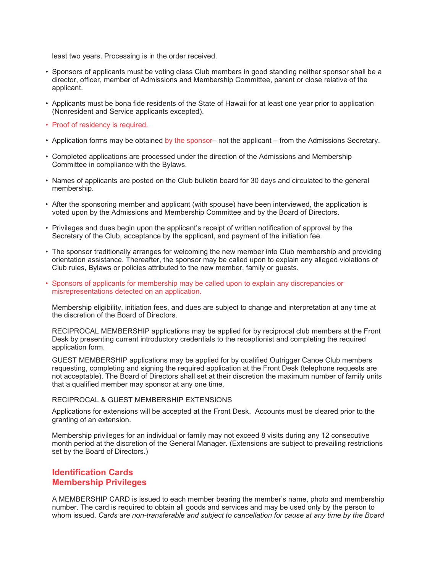least two years. Processing is in the order received.

- Sponsors of applicants must be voting class Club members in good standing neither sponsor shall be a director, officer, member of Admissions and Membership Committee, parent or close relative of the applicant.
- Applicants must be bona fide residents of the State of Hawaii for at least one year prior to application (Nonresident and Service applicants excepted).
- Proof of residency is required.
- Application forms may be obtained by the sponsor– not the applicant from the Admissions Secretary.
- Completed applications are processed under the direction of the Admissions and Membership Committee in compliance with the Bylaws.
- Names of applicants are posted on the Club bulletin board for 30 days and circulated to the general membership.
- After the sponsoring member and applicant (with spouse) have been interviewed, the application is voted upon by the Admissions and Membership Committee and by the Board of Directors.
- Privileges and dues begin upon the applicant's receipt of written notification of approval by the Secretary of the Club, acceptance by the applicant, and payment of the initiation fee.
- The sponsor traditionally arranges for welcoming the new member into Club membership and providing orientation assistance. Thereafter, the sponsor may be called upon to explain any alleged violations of Club rules, Bylaws or policies attributed to the new member, family or guests.
- Sponsors of applicants for membership may be called upon to explain any discrepancies or misrepresentations detected on an application.

Membership eligibility, initiation fees, and dues are subject to change and interpretation at any time at the discretion of the Board of Directors.

RECIPROCAL MEMBERSHIP applications may be applied for by reciprocal club members at the Front Desk by presenting current introductory credentials to the receptionist and completing the required application form.

GUEST MEMBERSHIP applications may be applied for by qualified Outrigger Canoe Club members requesting, completing and signing the required application at the Front Desk (telephone requests are not acceptable). The Board of Directors shall set at their discretion the maximum number of family units that a qualified member may sponsor at any one time.

## RECIPROCAL & GUEST MEMBERSHIP EXTENSIONS

Applications for extensions will be accepted at the Front Desk. Accounts must be cleared prior to the granting of an extension.

Membership privileges for an individual or family may not exceed 8 visits during any 12 consecutive month period at the discretion of the General Manager. (Extensions are subject to prevailing restrictions set by the Board of Directors.)

# **Identification Cards Membership Privileges**

A MEMBERSHIP CARD is issued to each member bearing the member's name, photo and membership number. The card is required to obtain all goods and services and may be used only by the person to whom issued. *Cards are non-transferable and subject to cancellation for cause at any time by the Board*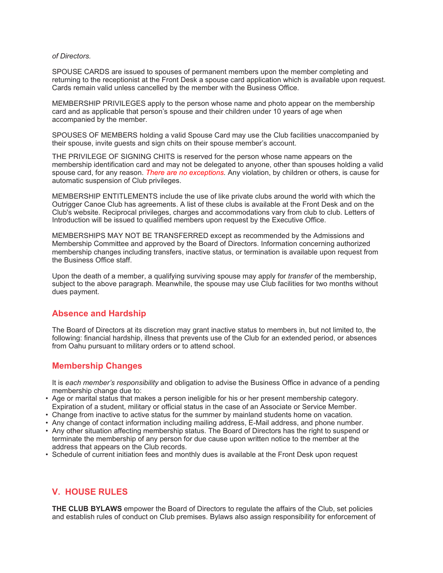## *of Directors.*

SPOUSE CARDS are issued to spouses of permanent members upon the member completing and returning to the receptionist at the Front Desk a spouse card application which is available upon request. Cards remain valid unless cancelled by the member with the Business Office.

MEMBERSHIP PRIVILEGES apply to the person whose name and photo appear on the membership card and as applicable that person's spouse and their children under 10 years of age when accompanied by the member.

SPOUSES OF MEMBERS holding a valid Spouse Card may use the Club facilities unaccompanied by their spouse, invite guests and sign chits on their spouse member's account.

THE PRIVILEGE OF SIGNING CHITS is reserved for the person whose name appears on the membership identification card and may not be delegated to anyone, other than spouses holding a valid spouse card, for any reason. *There are no exceptions.* Any violation, by children or others, is cause for automatic suspension of Club privileges.

MEMBERSHIP ENTITLEMENTS include the use of like private clubs around the world with which the Outrigger Canoe Club has agreements. A list of these clubs is available at the Front Desk and on the Club's website. Reciprocal privileges, charges and accommodations vary from club to club. Letters of Introduction will be issued to qualified members upon request by the Executive Office.

MEMBERSHIPS MAY NOT BE TRANSFERRED except as recommended by the Admissions and Membership Committee and approved by the Board of Directors. Information concerning authorized membership changes including transfers, inactive status, or termination is available upon request from the Business Office staff.

Upon the death of a member, a qualifying surviving spouse may apply for *transfer* of the membership, subject to the above paragraph. Meanwhile, the spouse may use Club facilities for two months without dues payment.

# **Absence and Hardship**

The Board of Directors at its discretion may grant inactive status to members in, but not limited to, the following: financial hardship, illness that prevents use of the Club for an extended period, or absences from Oahu pursuant to military orders or to attend school.

# **Membership Changes**

It is *each member's responsibility* and obligation to advise the Business Office in advance of a pending membership change due to:

- Age or marital status that makes a person ineligible for his or her present membership category. Expiration of a student, military or official status in the case of an Associate or Service Member.
- Change from inactive to active status for the summer by mainland students home on vacation.
- Any change of contact information including mailing address, E-Mail address, and phone number.
- Any other situation affecting membership status. The Board of Directors has the right to suspend or terminate the membership of any person for due cause upon written notice to the member at the address that appears on the Club records.
- Schedule of current initiation fees and monthly dues is available at the Front Desk upon request

# **V. HOUSE RULES**

**THE CLUB BYLAWS** empower the Board of Directors to regulate the affairs of the Club, set policies and establish rules of conduct on Club premises. Bylaws also assign responsibility for enforcement of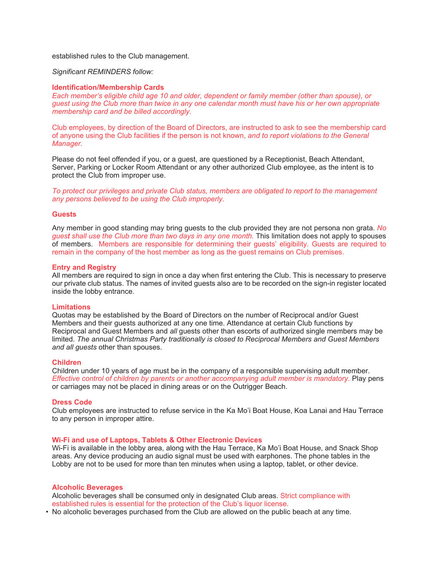## established rules to the Club management.

# *Significant REMINDERS follow:*

#### **Identification/Membership Cards**

*Each member's eligible child age 10 and older, dependent or family member (other than spouse), or guest using the Club more than twice in any one calendar month must have his or her own appropriate membership card and be billed accordingly.*

Club employees, by direction of the Board of Directors, are instructed to ask to see the membership card of anyone using the Club facilities if the person is not known, *and to report violations to the General Manager.*

Please do not feel offended if you, or a guest, are questioned by a Receptionist, Beach Attendant, Server, Parking or Locker Room Attendant or any other authorized Club employee, as the intent is to protect the Club from improper use.

*To protect our privileges and private Club status, members are obligated to report to the management any persons believed to be using the Club improperly.*

### **Guests**

Any member in good standing may bring guests to the club provided they are not persona non grata. *No guest shall use the Club more than two days in any one month.* This limitation does not apply to spouses of members. Members are responsible for determining their guests' eligibility. Guests are required to remain in the company of the host member as long as the guest remains on Club premises.

#### **Entry and Registry**

All members are required to sign in once a day when first entering the Club. This is necessary to preserve our private club status. The names of invited guests also are to be recorded on the sign-in register located inside the lobby entrance.

#### **Limitations**

Quotas may be established by the Board of Directors on the number of Reciprocal and/or Guest Members and their guests authorized at any one time. Attendance at certain Club functions by Reciprocal and Guest Members and *all* guests other than escorts of authorized single members may be limited. *The annual Christmas Party traditionally is closed to Reciprocal Members and Guest Members and all guests* other than spouses.

#### **Children**

Children under 10 years of age must be in the company of a responsible supervising adult member. *Effective control of children by parents or another accompanying adult member is mandatory.* Play pens or carriages may not be placed in dining areas or on the Outrigger Beach.

#### **Dress Code**

Club employees are instructed to refuse service in the Ka Mo'i Boat House, Koa Lanai and Hau Terrace to any person in improper attire.

#### **Wi-Fi and use of Laptops, Tablets & Other Electronic Devices**

Wi-Fi is available in the lobby area, along with the Hau Terrace, Ka Mo'i Boat House, and Snack Shop areas. Any device producing an audio signal must be used with earphones. The phone tables in the Lobby are not to be used for more than ten minutes when using a laptop, tablet, or other device.

#### **Alcoholic Beverages**

Alcoholic beverages shall be consumed only in designated Club areas. Strict compliance with established rules is essential for the protection of the Club's liquor license.

• No alcoholic beverages purchased from the Club are allowed on the public beach at any time.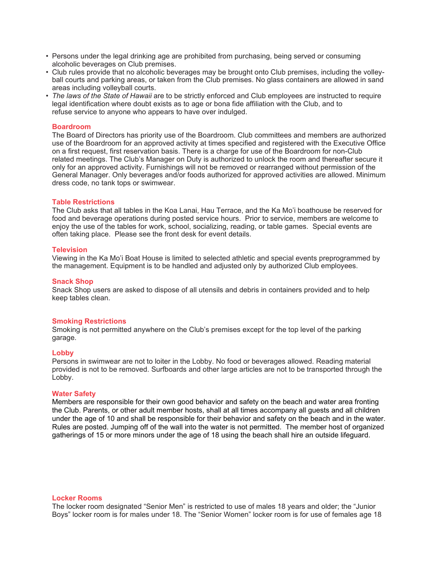- Persons under the legal drinking age are prohibited from purchasing, being served or consuming alcoholic beverages on Club premises.
- Club rules provide that no alcoholic beverages may be brought onto Club premises, including the volleyball courts and parking areas, or taken from the Club premises. No glass containers are allowed in sand areas including volleyball courts.
- *The laws of the State of Hawaii* are to be strictly enforced and Club employees are instructed to require legal identification where doubt exists as to age or bona fide affiliation with the Club, and to refuse service to anyone who appears to have over indulged.

# **Boardroom**

The Board of Directors has priority use of the Boardroom. Club committees and members are authorized use of the Boardroom for an approved activity at times specified and registered with the Executive Office on a first request, first reservation basis. There is a charge for use of the Boardroom for non-Club related meetings. The Club's Manager on Duty is authorized to unlock the room and thereafter secure it only for an approved activity. Furnishings will not be removed or rearranged without permission of the General Manager. Only beverages and/or foods authorized for approved activities are allowed. Minimum dress code, no tank tops or swimwear.

## **Table Restrictions**

The Club asks that all tables in the Koa Lanai, Hau Terrace, and the Ka Mo'i boathouse be reserved for food and beverage operations during posted service hours. Prior to service, members are welcome to enjoy the use of the tables for work, school, socializing, reading, or table games. Special events are often taking place. Please see the front desk for event details.

## **Television**

Viewing in the Ka Mo'i Boat House is limited to selected athletic and special events preprogrammed by the management. Equipment is to be handled and adjusted only by authorized Club employees.

# **Snack Shop**

Snack Shop users are asked to dispose of all utensils and debris in containers provided and to help keep tables clean.

## **Smoking Restrictions**

Smoking is not permitted anywhere on the Club's premises except for the top level of the parking garage.

## **Lobby**

Persons in swimwear are not to loiter in the Lobby. No food or beverages allowed. Reading material provided is not to be removed. Surfboards and other large articles are not to be transported through the Lobby.

# **Water Safety**

Members are responsible for their own good behavior and safety on the beach and water area fronting the Club. Parents, or other adult member hosts, shall at all times accompany all guests and all children under the age of 10 and shall be responsible for their behavior and safety on the beach and in the water. Rules are posted. Jumping off of the wall into the water is not permitted. The member host of organized gatherings of 15 or more minors under the age of 18 using the beach shall hire an outside lifeguard.

## **Locker Rooms**

The locker room designated "Senior Men" is restricted to use of males 18 years and older; the "Junior Boys" locker room is for males under 18. The "Senior Women" locker room is for use of females age 18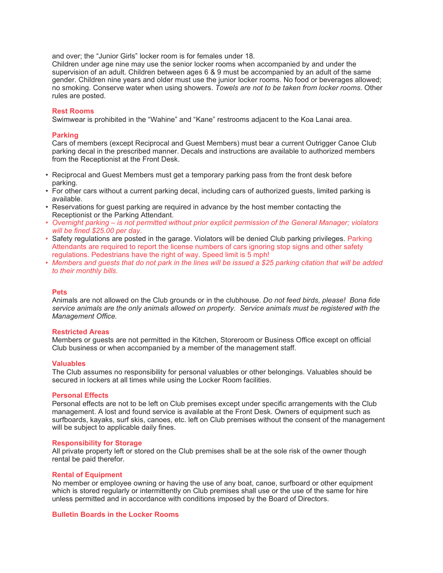and over; the "Junior Girls" locker room is for females under 18.

Children under age nine may use the senior locker rooms when accompanied by and under the supervision of an adult. Children between ages 6 & 9 must be accompanied by an adult of the same gender. Children nine years and older must use the junior locker rooms. No food or beverages allowed; no smoking. Conserve water when using showers. *Towels are not to be taken from locker rooms.* Other rules are posted.

# **Rest Rooms**

Swimwear is prohibited in the "Wahine" and "Kane" restrooms adjacent to the Koa Lanai area.

# **Parking**

Cars of members (except Reciprocal and Guest Members) must bear a current Outrigger Canoe Club parking decal in the prescribed manner. Decals and instructions are available to authorized members from the Receptionist at the Front Desk.

- Reciprocal and Guest Members must get a temporary parking pass from the front desk before parking.
- For other cars without a current parking decal, including cars of authorized guests, limited parking is available.
- Reservations for guest parking are required in advance by the host member contacting the Receptionist or the Parking Attendant.
- *Overnight parking – is not permitted without prior explicit permission of the General Manager; violators will be fined \$25.00 per day.*
- Safety regulations are posted in the garage. Violators will be denied Club parking privileges. Parking Attendants are required to report the license numbers of cars ignoring stop signs and other safety regulations. Pedestrians have the right of way. Speed limit is 5 mph!
- *Members and guests that do not park in the lines will be issued a \$25 parking citation that will be added to their monthly bills.*

## **Pets**

Animals are not allowed on the Club grounds or in the clubhouse. *Do not feed birds, please! Bona fide service animals are the only animals allowed on property. Service animals must be registered with the Management Office.* 

## **Restricted Areas**

Members or guests are not permitted in the Kitchen, Storeroom or Business Office except on official Club business or when accompanied by a member of the management staff.

## **Valuables**

The Club assumes no responsibility for personal valuables or other belongings. Valuables should be secured in lockers at all times while using the Locker Room facilities.

## **Personal Effects**

Personal effects are not to be left on Club premises except under specific arrangements with the Club management. A lost and found service is available at the Front Desk. Owners of equipment such as surfboards, kayaks, surf skis, canoes, etc. left on Club premises without the consent of the management will be subject to applicable daily fines.

## **Responsibility for Storage**

All private property left or stored on the Club premises shall be at the sole risk of the owner though rental be paid therefor.

# **Rental of Equipment**

No member or employee owning or having the use of any boat, canoe, surfboard or other equipment which is stored regularly or intermittently on Club premises shall use or the use of the same for hire unless permitted and in accordance with conditions imposed by the Board of Directors.

## **Bulletin Boards in the Locker Rooms**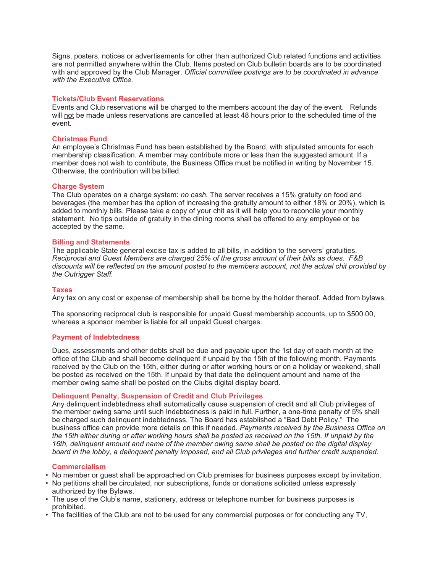Signs, posters, notices or advertisements for other than authorized Club related functions and activities are not permitted anywhere within the Club. Items posted on Club bulletin boards are to be coordinated with and approved by the Club Manager. *Official committee postings are to be coordinated in advance with the Executive Office.*

# **Tickets/Club Event Reservations**

Events and Club reservations will be charged to the members account the day of the event. Refunds will not be made unless reservations are cancelled at least 48 hours prior to the scheduled time of the event.

# **Christmas Fund**

An employee's Christmas Fund has been established by the Board, with stipulated amounts for each membership classification. A member may contribute more or less than the suggested amount. If a member does not wish to contribute, the Business Office must be notified in writing by November 15. Otherwise, the contribution will be billed.

# **Charge System**

The Club operates on a charge system: *no cash.* The server receives a 15% gratuity on food and beverages (the member has the option of increasing the gratuity amount to either 18% or 20%), which is added to monthly bills. Please take a copy of your chit as it will help you to reconcile your monthly statement. No tips outside of gratuity in the dining rooms shall be offered to any employee or be accepted by the same.

## **Billing and Statements**

The applicable State general excise tax is added to all bills, in addition to the servers' gratuities. *Reciprocal and Guest Members are charged 25% of the gross amount of their bills as dues. F&B discounts will be reflected on the amount posted to the members account, not the actual chit provided by the Outrigger Staff.*

## **Taxes**

Any tax on any cost or expense of membership shall be borne by the holder thereof. Added from bylaws.

The sponsoring reciprocal club is responsible for unpaid Guest membership accounts, up to \$500.00, whereas a sponsor member is liable for all unpaid Guest charges.

# **Payment of Indebtedness**

Dues, assessments and other debts shall be due and payable upon the 1st day of each month at the office of the Club and shall become delinquent if unpaid by the 15th of the following month. Payments received by the Club on the 15th, either during or after working hours or on a holiday or weekend, shall be posted as received on the 15th. If unpaid by that date the delinquent amount and name of the member owing same shall be posted on the Clubs digital display board.

## **Delinquent Penalty, Suspension of Credit and Club Privileges**

Any delinquent indebtedness shall automatically cause suspension of credit and all Club privileges of the member owing same until such Indebtedness is paid in full. Further, a one-time penalty of 5% shall be charged such delinquent indebtedness. The Board has established a "Bad Debt Policy." The business office can provide more details on this if needed. *Payments received by the Business Office on the 15th either during or after working hours shall be posted as received on the 15th. If unpaid by the 16th, delinquent amount and name of the member owing same shall be posted on the digital display board in the lobby, a delinquent penalty imposed, and all Club privileges and further credit suspended.*

## **Commercialism**

- No member or guest shall be approached on Club premises for business purposes except by invitation.
- No petitions shall be circulated, nor subscriptions, funds or donations solicited unless expressly authorized by the Bylaws.
- The use of the Club's name, stationery, address or telephone number for business purposes is prohibited.
- The facilities of the Club are not to be used for any commercial purposes or for conducting any TV,